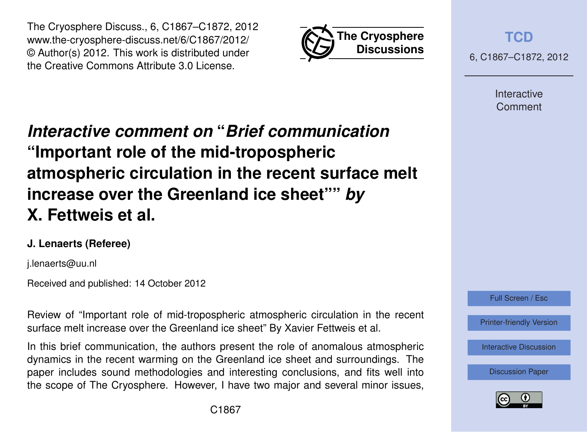



**[TCD](http://www.the-cryosphere-discuss.net)**

6, C1867–C1872, 2012

Interactive Comment

# *Interactive comment on* **"***Brief communication* **"Important role of the mid-tropospheric atmospheric circulation in the recent surface melt increase over the Greenland ice sheet""** *by* **X. Fettweis et al.**

# **J. Lenaerts (Referee)**

j.lenaerts@uu.nl

Received and published: 14 October 2012

Review of "Important role of mid-tropospheric atmospheric circulation in the recent surface melt increase over the Greenland ice sheet" By Xavier Fettweis et al.

In this brief communication, the authors present the role of anomalous atmospheric dynamics in the recent warming on the Greenland ice sheet and surroundings. The paper includes sound methodologies and interesting conclusions, and fits well into the scope of The Cryosphere. However, I have two major and several minor issues,



[Printer-friendly Version](http://www.the-cryosphere-discuss.net/6/C1867/2012/tcd-6-C1867-2012-print.pdf)

[Interactive Discussion](http://www.the-cryosphere-discuss.net/6/4101/2012/tcd-6-4101-2012-discussion.html)

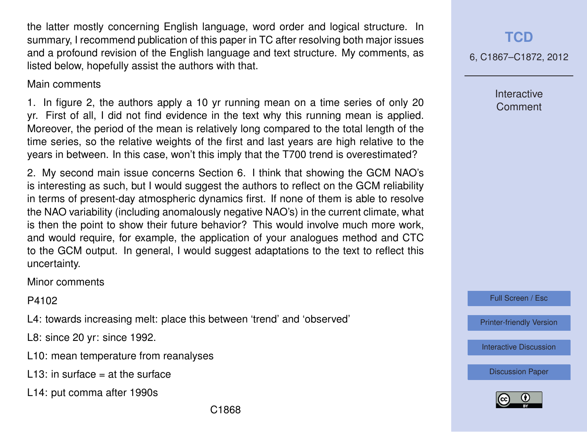the latter mostly concerning English language, word order and logical structure. In summary, I recommend publication of this paper in TC after resolving both major issues and a profound revision of the English language and text structure. My comments, as listed below, hopefully assist the authors with that.

#### Main comments

1. In figure 2, the authors apply a 10 yr running mean on a time series of only 20 yr. First of all, I did not find evidence in the text why this running mean is applied. Moreover, the period of the mean is relatively long compared to the total length of the time series, so the relative weights of the first and last years are high relative to the years in between. In this case, won't this imply that the T700 trend is overestimated?

2. My second main issue concerns Section 6. I think that showing the GCM NAO's is interesting as such, but I would suggest the authors to reflect on the GCM reliability in terms of present-day atmospheric dynamics first. If none of them is able to resolve the NAO variability (including anomalously negative NAO's) in the current climate, what is then the point to show their future behavior? This would involve much more work, and would require, for example, the application of your analogues method and CTC to the GCM output. In general, I would suggest adaptations to the text to reflect this uncertainty.

Minor comments

P4102

L4: towards increasing melt: place this between 'trend' and 'observed'

L8: since 20 yr: since 1992.

- L10: mean temperature from reanalyses
- L13: in surface  $=$  at the surface
- L14: put comma after 1990s

**[TCD](http://www.the-cryosphere-discuss.net)**

6, C1867–C1872, 2012

Interactive Comment

Full Screen / Esc

[Printer-friendly Version](http://www.the-cryosphere-discuss.net/6/C1867/2012/tcd-6-C1867-2012-print.pdf)

[Interactive Discussion](http://www.the-cryosphere-discuss.net/6/4101/2012/tcd-6-4101-2012-discussion.html)

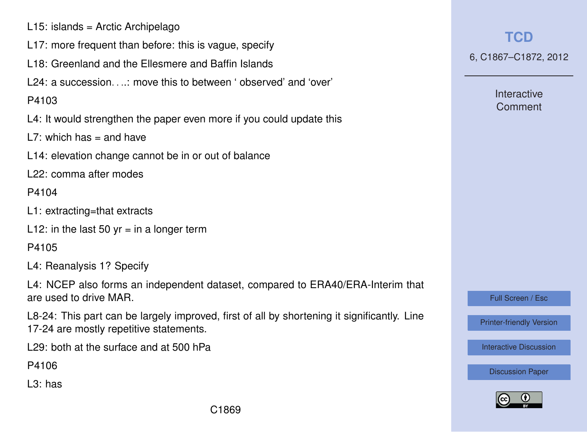- L15: islands = Arctic Archipelago
- L17: more frequent than before: this is vague, specify
- L18: Greenland and the Ellesmere and Baffin Islands
- $124$ : a succession  $\cdots$  move this to between ' observed' and 'over'

### P4103

L4: It would strengthen the paper even more if you could update this

L7: which has  $=$  and have

L14: elevation change cannot be in or out of balance

L22: comma after modes

#### P4104

- L1: extracting=that extracts
- L12: in the last 50  $vr = in$  a longer term

# P4105

L4: Reanalysis 1? Specify

L4: NCEP also forms an independent dataset, compared to ERA40/ERA-Interim that are used to drive MAR.

L8-24: This part can be largely improved, first of all by shortening it significantly. Line 17-24 are mostly repetitive statements.

L29: both at the surface and at 500 hPa

P4106

L3: has

**[TCD](http://www.the-cryosphere-discuss.net)**

6, C1867–C1872, 2012

Interactive Comment

Full Screen / Esc

[Printer-friendly Version](http://www.the-cryosphere-discuss.net/6/C1867/2012/tcd-6-C1867-2012-print.pdf)

[Interactive Discussion](http://www.the-cryosphere-discuss.net/6/4101/2012/tcd-6-4101-2012-discussion.html)

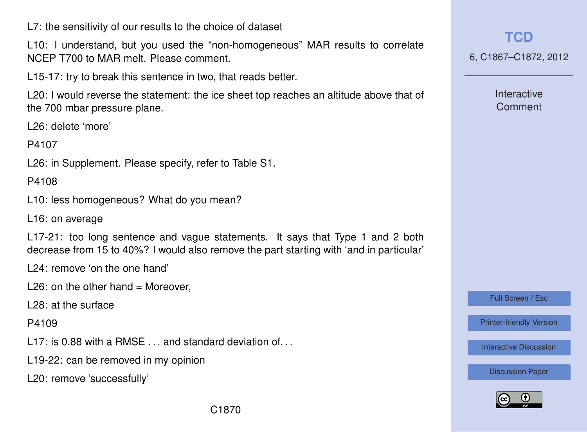L7: the sensitivity of our results to the choice of dataset

L10: I understand, but you used the "non-homogeneous" MAR results to correlate NCEP T700 to MAR melt. Please comment.

L15-17: try to break this sentence in two, that reads better.

L20: I would reverse the statement: the ice sheet top reaches an altitude above that of the 700 mbar pressure plane.

L26: delete 'more'

P4107

L26: in Supplement. Please specify, refer to Table S1.

P4108

L10: less homogeneous? What do you mean?

L16: on average

L17-21: too long sentence and vague statements. It says that Type 1 and 2 both decrease from 15 to 40%? I would also remove the part starting with 'and in particular'

L24: remove 'on the one hand'

L26: on the other hand  $=$  Moreover,

L28: at the surface

P4109

L17: is 0.88 with a RMSE and standard deviation of

L19-22: can be removed in my opinion

L20: remove 'successfully'

**[TCD](http://www.the-cryosphere-discuss.net)**

6, C1867–C1872, 2012

**Interactive** Comment

Full Screen / Esc

[Printer-friendly Version](http://www.the-cryosphere-discuss.net/6/C1867/2012/tcd-6-C1867-2012-print.pdf)

[Interactive Discussion](http://www.the-cryosphere-discuss.net/6/4101/2012/tcd-6-4101-2012-discussion.html)

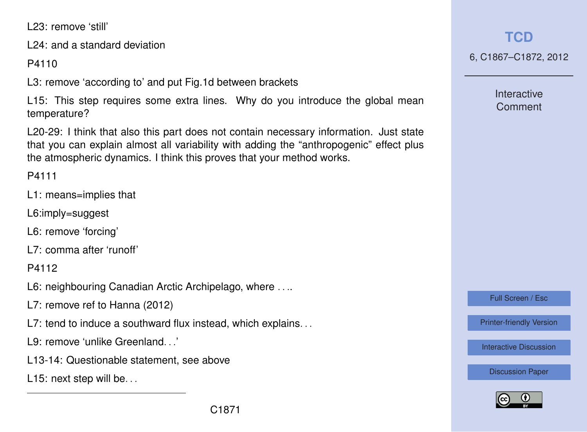L23: remove 'still'

L24: and a standard deviation

P4110

L3: remove 'according to' and put Fig.1d between brackets

L15: This step requires some extra lines. Why do you introduce the global mean temperature?

L20-29: I think that also this part does not contain necessary information. Just state that you can explain almost all variability with adding the "anthropogenic" effect plus the atmospheric dynamics. I think this proves that your method works.

P4111

- L1: means=implies that
- L6:imply=suggest
- L6: remove 'forcing'
- L7: comma after 'runoff'

P4112

- L6: neighbouring Canadian Arctic Archipelago, where . . ..
- L7: remove ref to Hanna (2012)
- L7: tend to induce a southward flux instead, which explains...
- L9: remove 'unlike Greenland. . .'
- L13-14: Questionable statement, see above
- L15: next step will be...

**[TCD](http://www.the-cryosphere-discuss.net)**

6, C1867–C1872, 2012

Interactive Comment

Full Screen / Esc

[Printer-friendly Version](http://www.the-cryosphere-discuss.net/6/C1867/2012/tcd-6-C1867-2012-print.pdf)

[Interactive Discussion](http://www.the-cryosphere-discuss.net/6/4101/2012/tcd-6-4101-2012-discussion.html)